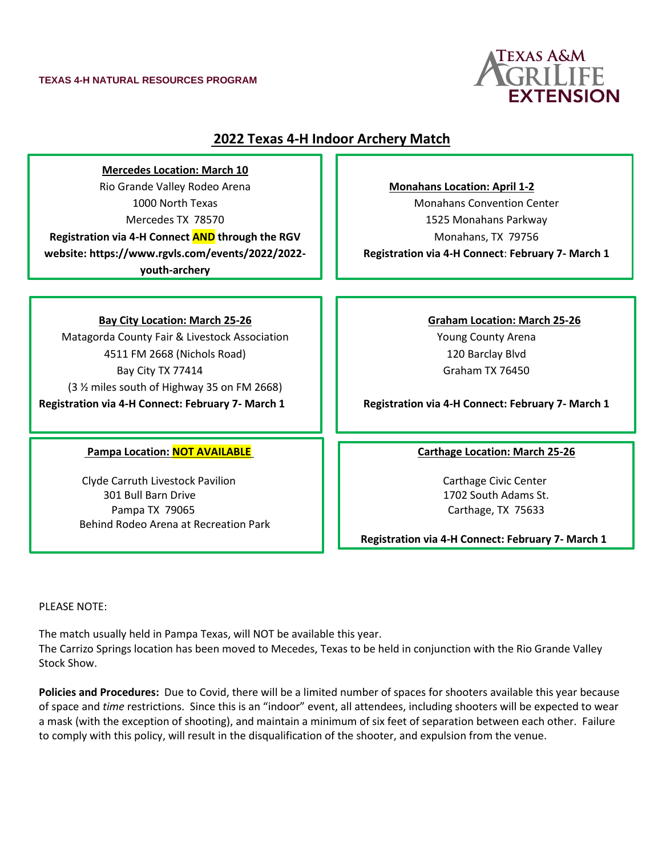#### **TEXAS 4-H NATURAL RESOURCES PROGRAM**



# **2022 Texas 4-H Indoor Archery Match**

**Mercedes Location: March 10** Rio Grande Valley Rodeo Arena 1000 North Texas Mercedes TX 78570 **Registration via 4-H Connect AND through the RGV** 

**website: https://www.rgvls.com/events/2022/2022 youth-archery**

### **Bay City Location: March 25-26**

Matagorda County Fair & Livestock Association 4511 FM 2668 (Nichols Road) Bay City TX 77414 (3 ½ miles south of Highway 35 on FM 2668) **Registration via 4-H Connect: February 7- March 1**

#### **Pampa Location: NOT AVAILABLE Carthage Location: March 25-26**

Clyde Carruth Livestock Pavilion Carthage Civic Center 301 Bull Barn Drive 1702 South Adams St. Pampa TX 79065 **Carthage, TX 75633** Behind Rodeo Arena at Recreation Park

**Monahans Location: April 1-2**

Monahans Convention Center 1525 Monahans Parkway Monahans, TX 79756 **Registration via 4-H Connect**: **February 7- March 1**

> **Graham Location: March 25-26** Young County Arena 120 Barclay Blvd Graham TX 76450

**Registration via 4-H Connect: February 7- March 1**

 **Registration via 4-H Connect: February 7- March 1**

PLEASE NOTE:

ī

The match usually held in Pampa Texas, will NOT be available this year. The Carrizo Springs location has been moved to Mecedes, Texas to be held in conjunction with the Rio Grande Valley Stock Show.

**Policies and Procedures:** Due to Covid, there will be a limited number of spaces for shooters available this year because of space and *time* restrictions. Since this is an "indoor" event, all attendees, including shooters will be expected to wear a mask (with the exception of shooting), and maintain a minimum of six feet of separation between each other. Failure to comply with this policy, will result in the disqualification of the shooter, and expulsion from the venue.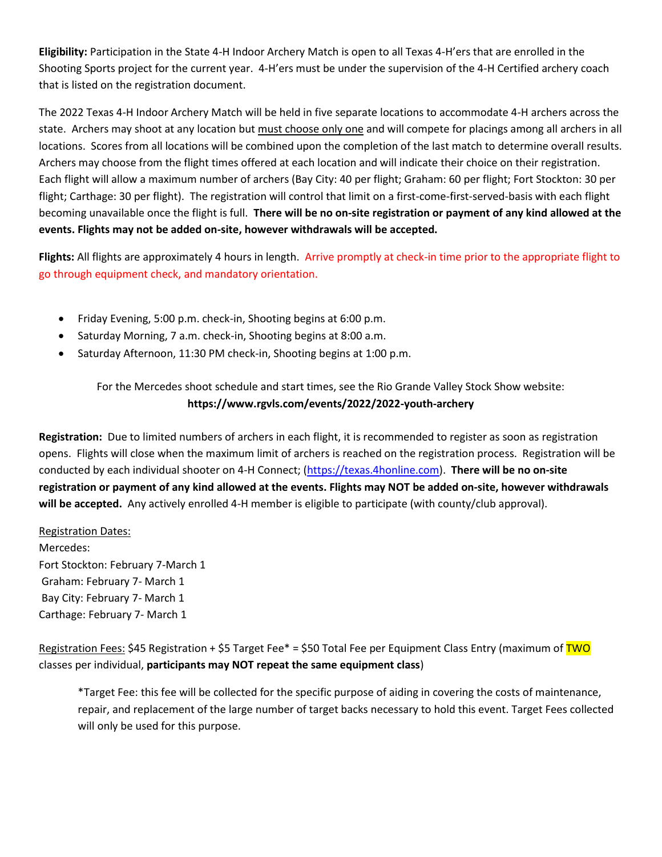**Eligibility:** Participation in the State 4-H Indoor Archery Match is open to all Texas 4-H'ers that are enrolled in the Shooting Sports project for the current year. 4-H'ers must be under the supervision of the 4-H Certified archery coach that is listed on the registration document.

The 2022 Texas 4-H Indoor Archery Match will be held in five separate locations to accommodate 4-H archers across the state. Archers may shoot at any location but must choose only one and will compete for placings among all archers in all locations. Scores from all locations will be combined upon the completion of the last match to determine overall results. Archers may choose from the flight times offered at each location and will indicate their choice on their registration. Each flight will allow a maximum number of archers (Bay City: 40 per flight; Graham: 60 per flight; Fort Stockton: 30 per flight; Carthage: 30 per flight). The registration will control that limit on a first-come-first-served-basis with each flight becoming unavailable once the flight is full. **There will be no on-site registration or payment of any kind allowed at the events. Flights may not be added on-site, however withdrawals will be accepted.**

**Flights:** All flights are approximately 4 hours in length. Arrive promptly at check-in time prior to the appropriate flight to go through equipment check, and mandatory orientation.

- Friday Evening, 5:00 p.m. check-in, Shooting begins at 6:00 p.m.
- Saturday Morning, 7 a.m. check-in, Shooting begins at 8:00 a.m.
- Saturday Afternoon, 11:30 PM check-in, Shooting begins at 1:00 p.m.

For the Mercedes shoot schedule and start times, see the Rio Grande Valley Stock Show website: **https://www.rgvls.com/events/2022/2022-youth-archery**

**Registration:** Due to limited numbers of archers in each flight, it is recommended to register as soon as registration opens. Flights will close when the maximum limit of archers is reached on the registration process. Registration will be conducted by each individual shooter on 4-H Connect; [\(https://texas.4honline.com\)](https://texas.4honline.com/). **There will be no on-site registration or payment of any kind allowed at the events. Flights may NOT be added on-site, however withdrawals will be accepted.** Any actively enrolled 4-H member is eligible to participate (with county/club approval).

Registration Dates:

Mercedes: Fort Stockton: February 7-March 1 Graham: February 7- March 1 Bay City: February 7- March 1 Carthage: February 7- March 1

Registration Fees: \$45 Registration + \$5 Target Fee\* = \$50 Total Fee per Equipment Class Entry (maximum of TWO classes per individual, **participants may NOT repeat the same equipment class**)

\*Target Fee: this fee will be collected for the specific purpose of aiding in covering the costs of maintenance, repair, and replacement of the large number of target backs necessary to hold this event. Target Fees collected will only be used for this purpose.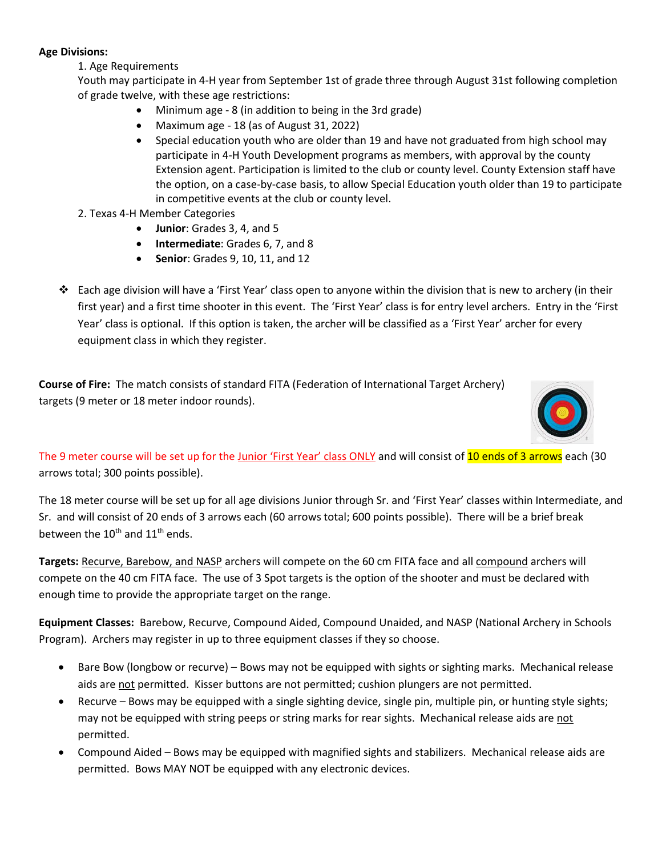## **Age Divisions:**

1. Age Requirements

Youth may participate in 4-H year from September 1st of grade three through August 31st following completion of grade twelve, with these age restrictions:

- Minimum age 8 (in addition to being in the 3rd grade)
- Maximum age 18 (as of August 31, 2022)
- Special education youth who are older than 19 and have not graduated from high school may participate in 4-H Youth Development programs as members, with approval by the county Extension agent. Participation is limited to the club or county level. County Extension staff have the option, on a case-by-case basis, to allow Special Education youth older than 19 to participate in competitive events at the club or county level.
- 2. Texas 4-H Member Categories
	- **Junior**: Grades 3, 4, and 5
	- **Intermediate**: Grades 6, 7, and 8
	- **Senior**: Grades 9, 10, 11, and 12
- ❖ Each age division will have a 'First Year' class open to anyone within the division that is new to archery (in their first year) and a first time shooter in this event. The 'First Year' class is for entry level archers. Entry in the 'First Year' class is optional. If this option is taken, the archer will be classified as a 'First Year' archer for every equipment class in which they register.

**Course of Fire:** The match consists of standard FITA (Federation of International Target Archery) targets (9 meter or 18 meter indoor rounds).



The 9 meter course will be set up for the Junior 'First Year' class ONLY and will consist of 10 ends of 3 arrows each (30 arrows total; 300 points possible).

The 18 meter course will be set up for all age divisions Junior through Sr. and 'First Year' classes within Intermediate, and Sr. and will consist of 20 ends of 3 arrows each (60 arrows total; 600 points possible). There will be a brief break between the  $10^{th}$  and  $11^{th}$  ends.

**Targets:** Recurve, Barebow, and NASP archers will compete on the 60 cm FITA face and all compound archers will compete on the 40 cm FITA face. The use of 3 Spot targets is the option of the shooter and must be declared with enough time to provide the appropriate target on the range.

**Equipment Classes:** Barebow, Recurve, Compound Aided, Compound Unaided, and NASP (National Archery in Schools Program). Archers may register in up to three equipment classes if they so choose.

- Bare Bow (longbow or recurve) Bows may not be equipped with sights or sighting marks. Mechanical release aids are not permitted. Kisser buttons are not permitted; cushion plungers are not permitted.
- Recurve Bows may be equipped with a single sighting device, single pin, multiple pin, or hunting style sights; may not be equipped with string peeps or string marks for rear sights. Mechanical release aids are not permitted.
- Compound Aided Bows may be equipped with magnified sights and stabilizers. Mechanical release aids are permitted. Bows MAY NOT be equipped with any electronic devices.